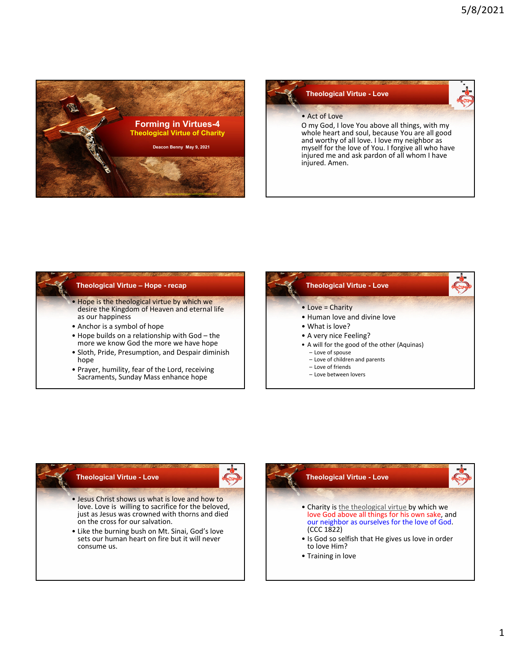



## **Theological Virtue – Hope - recap**

• Hope is the theological virtue by which we desire the Kingdom of Heaven and eternal life as our happiness

- Anchor is a symbol of hope
- Hope builds on a relationship with God the more we know God the more we have hope
- Sloth, Pride, Presumption, and Despair diminish hope
- Prayer, humility, fear of the Lord, receiving Sacraments, Sunday Mass enhance hope



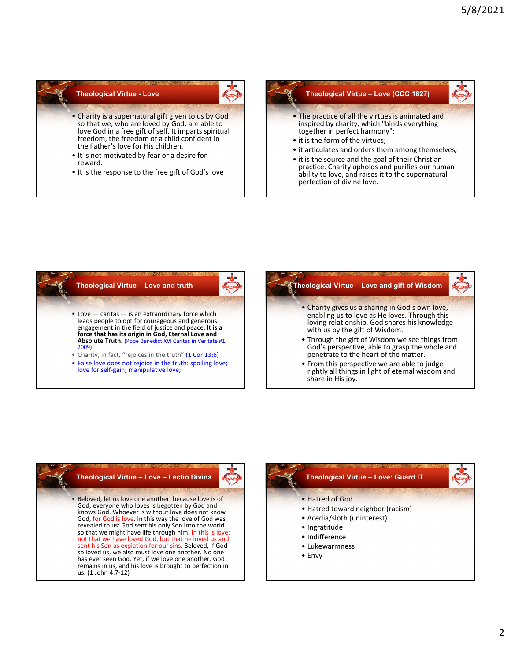## **Theological Virtue - Love**

- Charity is a supernatural gift given to us by God so that we, who are loved by God, are able to love God in a free gift of self. It imparts spiritual freedom, the freedom of a child confident in the Father's love for His children.
- It is not motivated by fear or a desire for reward.
- It is the response to the free gift of God's love